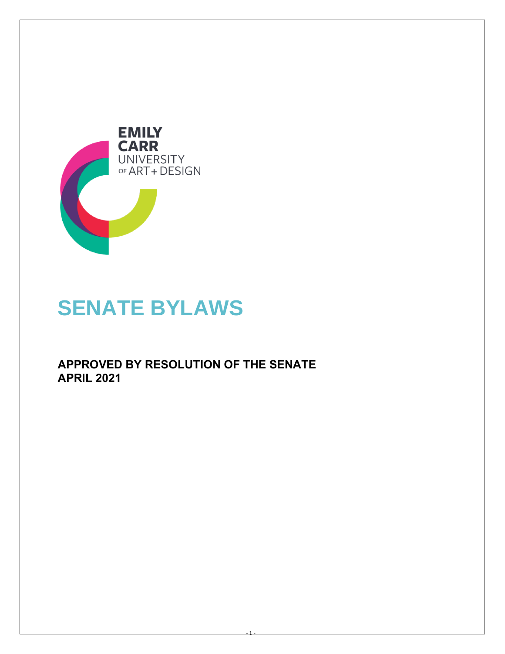

# **SENATE BYLAWS**

**APPROVED BY RESOLUTION OF THE SENATE APRIL 2021**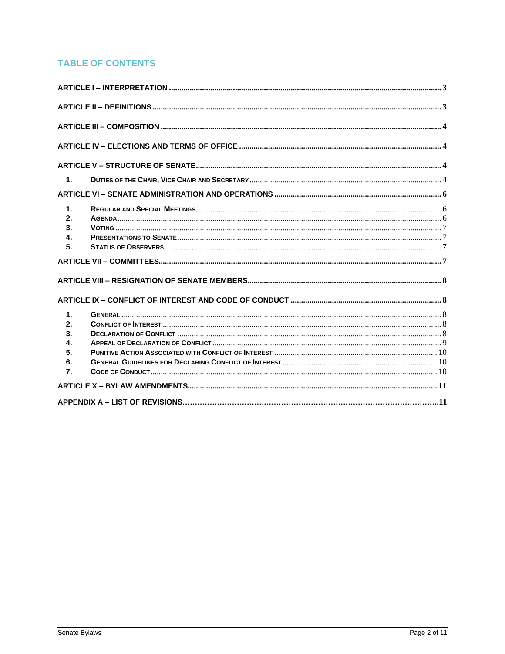# **TABLE OF CONTENTS**

| $\mathbf{1}$ .                                       |  |
|------------------------------------------------------|--|
|                                                      |  |
| $\mathbf{1}$ .<br>2.<br>3.<br>$\mathbf{4}$<br>5.     |  |
|                                                      |  |
|                                                      |  |
|                                                      |  |
| 1.<br>2.<br>3.<br>4.<br>5.<br>6.<br>$\overline{7}$ . |  |
|                                                      |  |
|                                                      |  |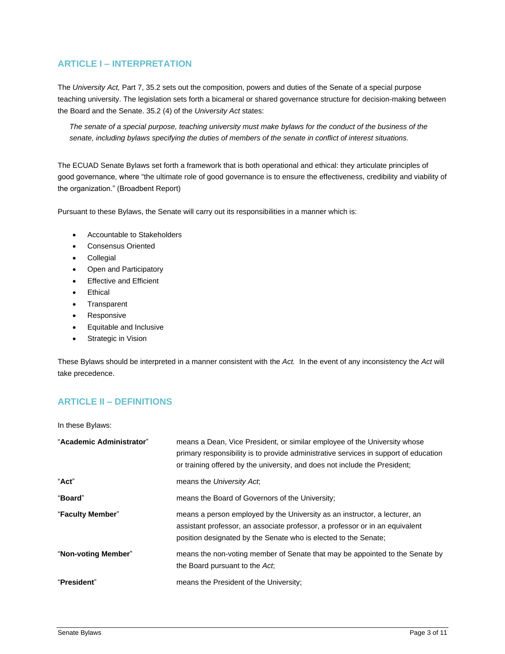# <span id="page-2-0"></span>**ARTICLE I – INTERPRETATION**

The *University Act,* Part 7, 35.2 sets out the composition, powers and duties of the Senate of a special purpose teaching university. The legislation sets forth a bicameral or shared governance structure for decision-making between the Board and the Senate. 35.2 (4) of the *University Act* states:

*The senate of a special purpose, teaching university must make bylaws for the conduct of the business of the senate, including bylaws specifying the duties of members of the senate in conflict of interest situations.*

The ECUAD Senate Bylaws set forth a framework that is both operational and ethical: they articulate principles of good governance, where "the ultimate role of good governance is to ensure the effectiveness, credibility and viability of the organization." (Broadbent Report)

Pursuant to these Bylaws, the Senate will carry out its responsibilities in a manner which is:

- Accountable to Stakeholders
- Consensus Oriented
- **Collegial**
- Open and Participatory
- **Effective and Efficient**
- **Ethical**
- **Transparent**
- **Responsive**
- Equitable and Inclusive
- **Strategic in Vision**

These Bylaws should be interpreted in a manner consistent with the *Act.* In the event of any inconsistency the *Act* will take precedence.

## <span id="page-2-1"></span>**ARTICLE II – DEFINITIONS**

In these Bylaws:

| "Academic Administrator" | means a Dean, Vice President, or similar employee of the University whose<br>primary responsibility is to provide administrative services in support of education<br>or training offered by the university, and does not include the President; |
|--------------------------|-------------------------------------------------------------------------------------------------------------------------------------------------------------------------------------------------------------------------------------------------|
| "Act"                    | means the University Act.                                                                                                                                                                                                                       |
| "Board"                  | means the Board of Governors of the University;                                                                                                                                                                                                 |
| "Faculty Member"         | means a person employed by the University as an instructor, a lecturer, an<br>assistant professor, an associate professor, a professor or in an equivalent<br>position designated by the Senate who is elected to the Senate;                   |
| "Non-voting Member"      | means the non-voting member of Senate that may be appointed to the Senate by<br>the Board pursuant to the Act,                                                                                                                                  |
| "President"              | means the President of the University;                                                                                                                                                                                                          |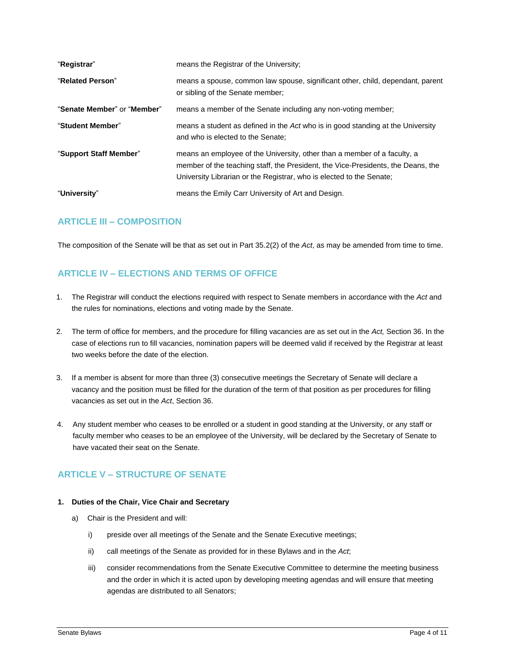| "Registrar"                 | means the Registrar of the University;                                                                                                                                                                                               |
|-----------------------------|--------------------------------------------------------------------------------------------------------------------------------------------------------------------------------------------------------------------------------------|
| "Related Person"            | means a spouse, common law spouse, significant other, child, dependant, parent<br>or sibling of the Senate member;                                                                                                                   |
| "Senate Member" or "Member" | means a member of the Senate including any non-voting member;                                                                                                                                                                        |
| "Student Member"            | means a student as defined in the Act who is in good standing at the University<br>and who is elected to the Senate;                                                                                                                 |
| "Support Staff Member"      | means an employee of the University, other than a member of a faculty, a<br>member of the teaching staff, the President, the Vice-Presidents, the Deans, the<br>University Librarian or the Registrar, who is elected to the Senate; |
| "University"                | means the Emily Carr University of Art and Design.                                                                                                                                                                                   |

## <span id="page-3-0"></span>**ARTICLE III – COMPOSITION**

The composition of the Senate will be that as set out in Part 35.2(2) of the *Act*, as may be amended from time to time.

# <span id="page-3-1"></span>**ARTICLE IV – ELECTIONS AND TERMS OF OFFICE**

- 1. The Registrar will conduct the elections required with respect to Senate members in accordance with the *Act* and the rules for nominations, elections and voting made by the Senate.
- 2. The term of office for members, and the procedure for filling vacancies are as set out in the *Act,* Section 36. In the case of elections run to fill vacancies, nomination papers will be deemed valid if received by the Registrar at least two weeks before the date of the election.
- 3. If a member is absent for more than three (3) consecutive meetings the Secretary of Senate will declare a vacancy and the position must be filled for the duration of the term of that position as per procedures for filling vacancies as set out in the *Act*, Section 36.
- 4. Any student member who ceases to be enrolled or a student in good standing at the University, or any staff or faculty member who ceases to be an employee of the University, will be declared by the Secretary of Senate to have vacated their seat on the Senate.

# <span id="page-3-2"></span>**ARTICLE V – STRUCTURE OF SENATE**

## <span id="page-3-3"></span>**1. Duties of the Chair, Vice Chair and Secretary**

- a) Chair is the President and will:
	- i) preside over all meetings of the Senate and the Senate Executive meetings;
	- ii) call meetings of the Senate as provided for in these Bylaws and in the *Act*;
	- iii) consider recommendations from the Senate Executive Committee to determine the meeting business and the order in which it is acted upon by developing meeting agendas and will ensure that meeting agendas are distributed to all Senators;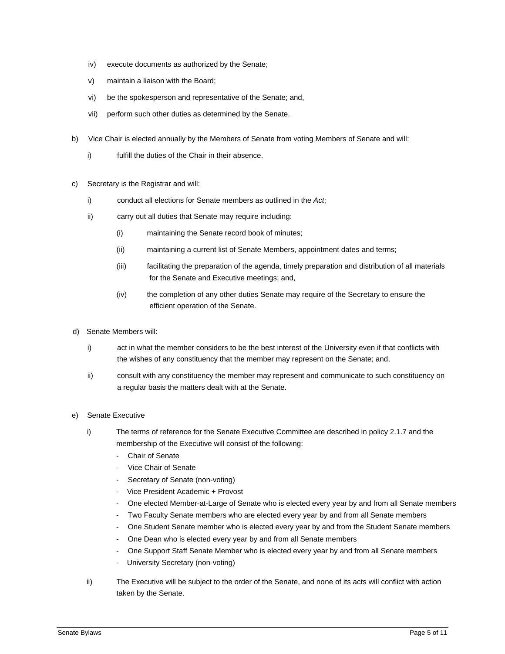- iv) execute documents as authorized by the Senate;
- v) maintain a liaison with the Board;
- vi) be the spokesperson and representative of the Senate; and,
- vii) perform such other duties as determined by the Senate.
- b) Vice Chair is elected annually by the Members of Senate from voting Members of Senate and will:
	- i) fulfill the duties of the Chair in their absence.
- c) Secretary is the Registrar and will:
	- i) conduct all elections for Senate members as outlined in the *Act*;
	- ii) carry out all duties that Senate may require including:
		- (i) maintaining the Senate record book of minutes;
		- (ii) maintaining a current list of Senate Members, appointment dates and terms;
		- (iii) facilitating the preparation of the agenda, timely preparation and distribution of all materials for the Senate and Executive meetings; and,
		- (iv) the completion of any other duties Senate may require of the Secretary to ensure the efficient operation of the Senate.
- d) Senate Members will:
	- i) act in what the member considers to be the best interest of the University even if that conflicts with the wishes of any constituency that the member may represent on the Senate; and,
	- ii) consult with any constituency the member may represent and communicate to such constituency on a regular basis the matters dealt with at the Senate.
- e) Senate Executive
	- i) The terms of reference for the Senate Executive Committee are described in policy 2.1.7 and the membership of the Executive will consist of the following:
		- Chair of Senate
		- Vice Chair of Senate
		- Secretary of Senate (non-voting)
		- Vice President Academic + Provost
		- One elected Member-at-Large of Senate who is elected every year by and from all Senate members
		- Two Faculty Senate members who are elected every year by and from all Senate members
		- One Student Senate member who is elected every year by and from the Student Senate members
		- One Dean who is elected every year by and from all Senate members
		- One Support Staff Senate Member who is elected every year by and from all Senate members
		- University Secretary (non-voting)
	- ii) The Executive will be subject to the order of the Senate, and none of its acts will conflict with action taken by the Senate.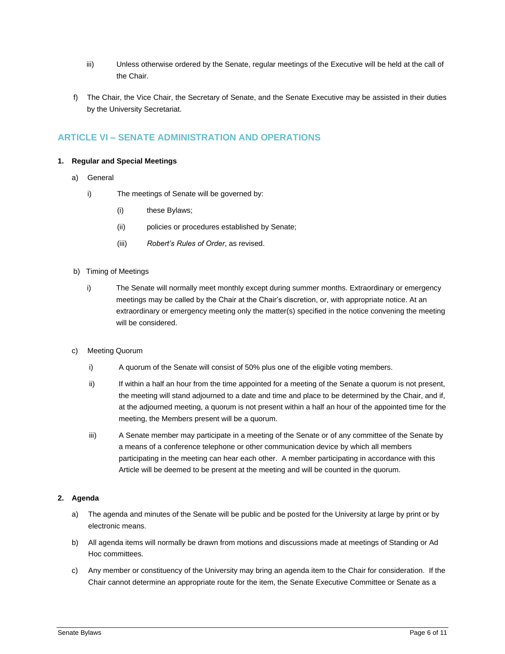- iii) Unless otherwise ordered by the Senate, regular meetings of the Executive will be held at the call of the Chair.
- f) The Chair, the Vice Chair, the Secretary of Senate, and the Senate Executive may be assisted in their duties by the University Secretariat.

## <span id="page-5-0"></span>**ARTICLE VI – SENATE ADMINISTRATION AND OPERATIONS**

## <span id="page-5-1"></span>**1. Regular and Special Meetings**

- a) General
	- i) The meetings of Senate will be governed by:
		- (i) these Bylaws;
		- (ii) policies or procedures established by Senate;
		- (iii) *Robert's Rules of Order*, as revised.
- b) Timing of Meetings
	- i) The Senate will normally meet monthly except during summer months. Extraordinary or emergency meetings may be called by the Chair at the Chair's discretion, or, with appropriate notice. At an extraordinary or emergency meeting only the matter(s) specified in the notice convening the meeting will be considered.
- c) Meeting Quorum
	- i) A quorum of the Senate will consist of 50% plus one of the eligible voting members.
	- ii) If within a half an hour from the time appointed for a meeting of the Senate a quorum is not present, the meeting will stand adjourned to a date and time and place to be determined by the Chair, and if, at the adjourned meeting, a quorum is not present within a half an hour of the appointed time for the meeting, the Members present will be a quorum.
	- iii) A Senate member may participate in a meeting of the Senate or of any committee of the Senate by a means of a conference telephone or other communication device by which all members participating in the meeting can hear each other. A member participating in accordance with this Article will be deemed to be present at the meeting and will be counted in the quorum.

## <span id="page-5-2"></span>**2. Agenda**

- a) The agenda and minutes of the Senate will be public and be posted for the University at large by print or by electronic means.
- b) All agenda items will normally be drawn from motions and discussions made at meetings of Standing or Ad Hoc committees.
- c) Any member or constituency of the University may bring an agenda item to the Chair for consideration. If the Chair cannot determine an appropriate route for the item, the Senate Executive Committee or Senate as a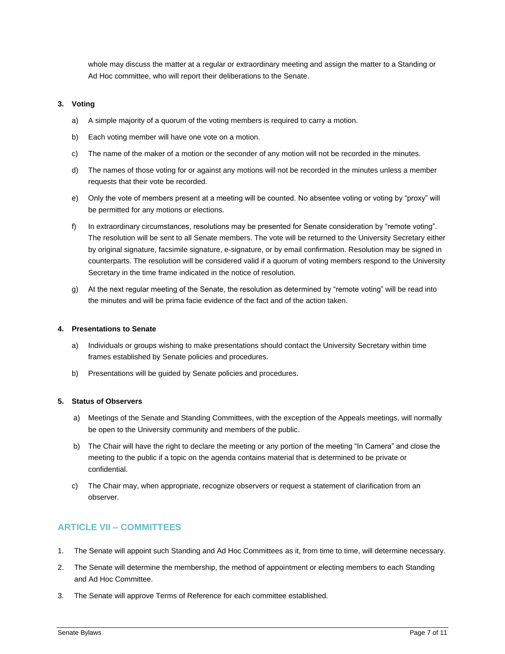whole may discuss the matter at a regular or extraordinary meeting and assign the matter to a Standing or Ad Hoc committee, who will report their deliberations to the Senate.

### <span id="page-6-0"></span>**3. Voting**

- a) A simple majority of a quorum of the voting members is required to carry a motion.
- b) Each voting member will have one vote on a motion.
- c) The name of the maker of a motion or the seconder of any motion will not be recorded in the minutes.
- d) The names of those voting for or against any motions will not be recorded in the minutes unless a member requests that their vote be recorded.
- e) Only the vote of members present at a meeting will be counted. No absentee voting or voting by "proxy" will be permitted for any motions or elections.
- f) In extraordinary circumstances, resolutions may be presented for Senate consideration by "remote voting". The resolution will be sent to all Senate members. The vote will be returned to the University Secretary either by original signature, facsimile signature, e-signature, or by email confirmation. Resolution may be signed in counterparts. The resolution will be considered valid if a quorum of voting members respond to the University Secretary in the time frame indicated in the notice of resolution.
- g) At the next regular meeting of the Senate, the resolution as determined by "remote voting" will be read into the minutes and will be prima facie evidence of the fact and of the action taken.

#### <span id="page-6-1"></span>**4. Presentations to Senate**

- a) Individuals or groups wishing to make presentations should contact the University Secretary within time frames established by Senate policies and procedures.
- b) Presentations will be guided by Senate policies and procedures.

## <span id="page-6-2"></span>**5. Status of Observers**

- a) Meetings of the Senate and Standing Committees, with the exception of the Appeals meetings, will normally be open to the University community and members of the public.
- b) The Chair will have the right to declare the meeting or any portion of the meeting "In Camera" and close the meeting to the public if a topic on the agenda contains material that is determined to be private or confidential.
- c) The Chair may, when appropriate, recognize observers or request a statement of clarification from an observer.

## <span id="page-6-3"></span>**ARTICLE VII – COMMITTEES**

- 1. The Senate will appoint such Standing and Ad Hoc Committees as it, from time to time, will determine necessary.
- 2. The Senate will determine the membership, the method of appointment or electing members to each Standing and Ad Hoc Committee.
- 3. The Senate will approve Terms of Reference for each committee established.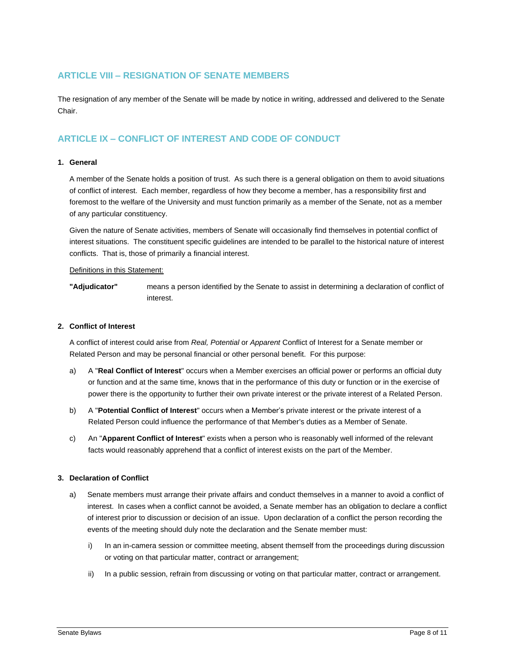## <span id="page-7-0"></span>**ARTICLE VIII – RESIGNATION OF SENATE MEMBERS**

The resignation of any member of the Senate will be made by notice in writing, addressed and delivered to the Senate Chair.

# <span id="page-7-1"></span>**ARTICLE IX – CONFLICT OF INTEREST AND CODE OF CONDUCT**

### <span id="page-7-2"></span>**1. General**

A member of the Senate holds a position of trust. As such there is a general obligation on them to avoid situations of conflict of interest. Each member, regardless of how they become a member, has a responsibility first and foremost to the welfare of the University and must function primarily as a member of the Senate, not as a member of any particular constituency.

Given the nature of Senate activities, members of Senate will occasionally find themselves in potential conflict of interest situations. The constituent specific guidelines are intended to be parallel to the historical nature of interest conflicts. That is, those of primarily a financial interest.

#### Definitions in this Statement:

**"Adjudicator"** means a person identified by the Senate to assist in determining a declaration of conflict of interest.

#### <span id="page-7-3"></span>**2. Conflict of Interest**

A conflict of interest could arise from *Real, Potential* or *Apparent* Conflict of Interest for a Senate member or Related Person and may be personal financial or other personal benefit. For this purpose:

- a) A "**Real Conflict of Interest**" occurs when a Member exercises an official power or performs an official duty or function and at the same time, knows that in the performance of this duty or function or in the exercise of power there is the opportunity to further their own private interest or the private interest of a Related Person.
- b) A "**Potential Conflict of Interest**" occurs when a Member's private interest or the private interest of a Related Person could influence the performance of that Member's duties as a Member of Senate.
- c) An "**Apparent Conflict of Interest**" exists when a person who is reasonably well informed of the relevant facts would reasonably apprehend that a conflict of interest exists on the part of the Member.

#### <span id="page-7-4"></span>**3. Declaration of Conflict**

- a) Senate members must arrange their private affairs and conduct themselves in a manner to avoid a conflict of interest. In cases when a conflict cannot be avoided, a Senate member has an obligation to declare a conflict of interest prior to discussion or decision of an issue. Upon declaration of a conflict the person recording the events of the meeting should duly note the declaration and the Senate member must:
	- i) In an in-camera session or committee meeting, absent themself from the proceedings during discussion or voting on that particular matter, contract or arrangement;
	- ii) In a public session, refrain from discussing or voting on that particular matter, contract or arrangement.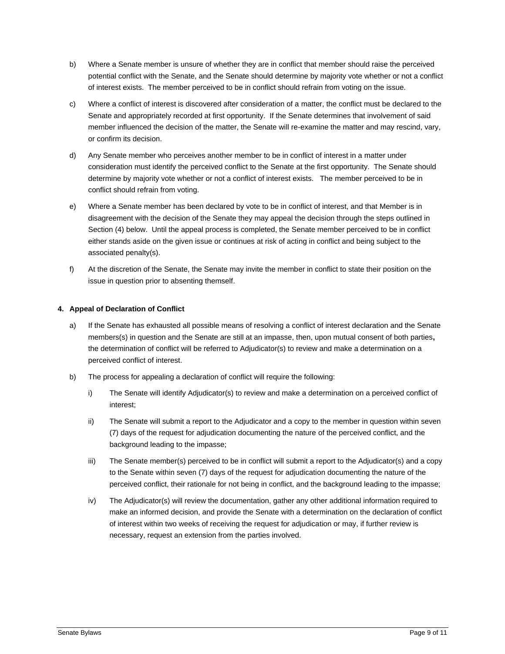- b) Where a Senate member is unsure of whether they are in conflict that member should raise the perceived potential conflict with the Senate, and the Senate should determine by majority vote whether or not a conflict of interest exists. The member perceived to be in conflict should refrain from voting on the issue.
- c) Where a conflict of interest is discovered after consideration of a matter, the conflict must be declared to the Senate and appropriately recorded at first opportunity. If the Senate determines that involvement of said member influenced the decision of the matter, the Senate will re-examine the matter and may rescind, vary, or confirm its decision.
- d) Any Senate member who perceives another member to be in conflict of interest in a matter under consideration must identify the perceived conflict to the Senate at the first opportunity. The Senate should determine by majority vote whether or not a conflict of interest exists. The member perceived to be in conflict should refrain from voting.
- e) Where a Senate member has been declared by vote to be in conflict of interest, and that Member is in disagreement with the decision of the Senate they may appeal the decision through the steps outlined in Section (4) below. Until the appeal process is completed, the Senate member perceived to be in conflict either stands aside on the given issue or continues at risk of acting in conflict and being subject to the associated penalty(s).
- f) At the discretion of the Senate, the Senate may invite the member in conflict to state their position on the issue in question prior to absenting themself.

## <span id="page-8-0"></span>**4. Appeal of Declaration of Conflict**

- a) If the Senate has exhausted all possible means of resolving a conflict of interest declaration and the Senate members(s) in question and the Senate are still at an impasse, then, upon mutual consent of both parties**,** the determination of conflict will be referred to Adjudicator(s) to review and make a determination on a perceived conflict of interest.
- <span id="page-8-1"></span>b) The process for appealing a declaration of conflict will require the following:
	- i) The Senate will identify Adjudicator(s) to review and make a determination on a perceived conflict of interest;
	- ii) The Senate will submit a report to the Adjudicator and a copy to the member in question within seven (7) days of the request for adjudication documenting the nature of the perceived conflict, and the background leading to the impasse;
	- iii) The Senate member(s) perceived to be in conflict will submit a report to the Adjudicator(s) and a copy to the Senate within seven (7) days of the request for adjudication documenting the nature of the perceived conflict, their rationale for not being in conflict, and the background leading to the impasse;
	- iv) The Adjudicator(s) will review the documentation, gather any other additional information required to make an informed decision, and provide the Senate with a determination on the declaration of conflict of interest within two weeks of receiving the request for adjudication or may, if further review is necessary, request an extension from the parties involved.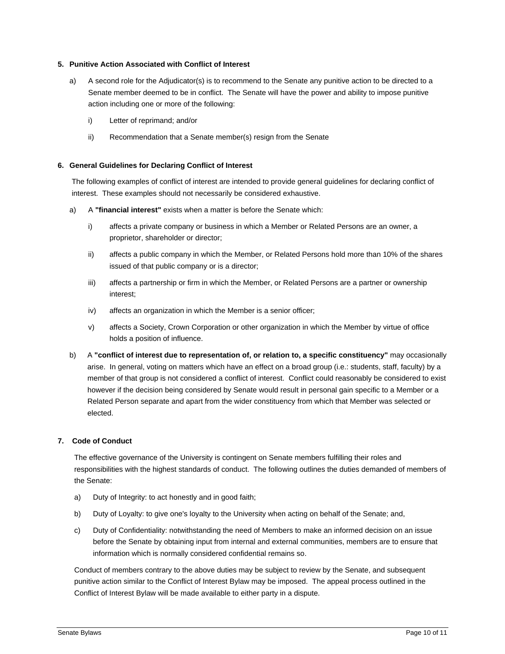## **5. Punitive Action Associated with Conflict of Interest**

- a) A second role for the Adjudicator(s) is to recommend to the Senate any punitive action to be directed to a Senate member deemed to be in conflict. The Senate will have the power and ability to impose punitive action including one or more of the following:
	- i) Letter of reprimand; and/or
	- ii) Recommendation that a Senate member(s) resign from the Senate

#### <span id="page-9-0"></span>**6. General Guidelines for Declaring Conflict of Interest**

The following examples of conflict of interest are intended to provide general guidelines for declaring conflict of interest. These examples should not necessarily be considered exhaustive.

- a) A **"financial interest"** exists when a matter is before the Senate which:
	- i) affects a private company or business in which a Member or Related Persons are an owner, a proprietor, shareholder or director;
	- ii) affects a public company in which the Member, or Related Persons hold more than 10% of the shares issued of that public company or is a director;
	- iii) affects a partnership or firm in which the Member, or Related Persons are a partner or ownership interest;
	- iv) affects an organization in which the Member is a senior officer;
	- v) affects a Society, Crown Corporation or other organization in which the Member by virtue of office holds a position of influence.
- b) A **"conflict of interest due to representation of, or relation to, a specific constituency"** may occasionally arise. In general, voting on matters which have an effect on a broad group (i.e.: students, staff, faculty) by a member of that group is not considered a conflict of interest. Conflict could reasonably be considered to exist however if the decision being considered by Senate would result in personal gain specific to a Member or a Related Person separate and apart from the wider constituency from which that Member was selected or elected.

## **7. Code of Conduct**

<span id="page-9-1"></span>The effective governance of the University is contingent on Senate members fulfilling their roles and responsibilities with the highest standards of conduct. The following outlines the duties demanded of members of the Senate:

- a) Duty of Integrity: to act honestly and in good faith;
- b) Duty of Loyalty: to give one's loyalty to the University when acting on behalf of the Senate; and,
- c) Duty of Confidentiality: notwithstanding the need of Members to make an informed decision on an issue before the Senate by obtaining input from internal and external communities, members are to ensure that information which is normally considered confidential remains so.

Conduct of members contrary to the above duties may be subject to review by the Senate, and subsequent punitive action similar to the Conflict of Interest Bylaw may be imposed. The appeal process outlined in the Conflict of Interest Bylaw will be made available to either party in a dispute.